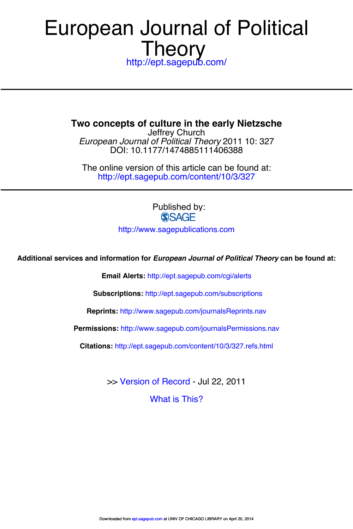# **Theory** European Journal of Political

<http://ept.sagepub.com/>

Jeffrey Church **Two concepts of culture in the early Nietzsche**

DOI: 10.1177/1474885111406388 *European Journal of Political Theory* 2011 10: 327

<http://ept.sagepub.com/content/10/3/327> The online version of this article can be found at:

> Published by:<br>
> SAGE <http://www.sagepublications.com>

**Additional services and information for** *European Journal of Political Theory* **can be found at:**

**Email Alerts:** <http://ept.sagepub.com/cgi/alerts>

**Subscriptions:** <http://ept.sagepub.com/subscriptions>

**Reprints:** <http://www.sagepub.com/journalsReprints.nav>

**Permissions:** <http://www.sagepub.com/journalsPermissions.nav>

**Citations:** <http://ept.sagepub.com/content/10/3/327.refs.html>

[What is This?](http://online.sagepub.com/site/sphelp/vorhelp.xhtml) >> [Version of Record -](http://ept.sagepub.com/content/10/3/327.full.pdf) Jul 22, 2011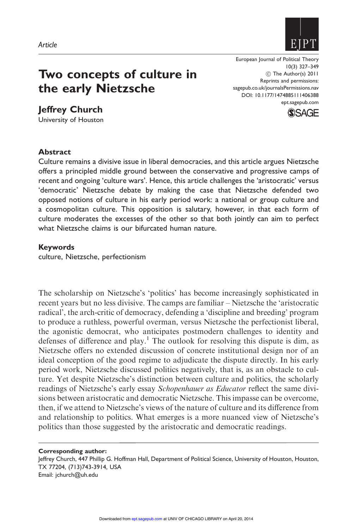

## Two concepts of culture in the early Nietzsche

Jeffrey Church University of Houston

European Journal of Political Theory 10(3) 327–349 ! The Author(s) 2011 Reprints and permissions: sagepub.co.uk/journalsPermissions.nav DOI: 10.1177/1474885111406388 ept.sagepub.com



#### Abstract

Culture remains a divisive issue in liberal democracies, and this article argues Nietzsche offers a principled middle ground between the conservative and progressive camps of recent and ongoing 'culture wars'. Hence, this article challenges the 'aristocratic' versus 'democratic' Nietzsche debate by making the case that Nietzsche defended two opposed notions of culture in his early period work: a national or group culture and a cosmopolitan culture. This opposition is salutary, however, in that each form of culture moderates the excesses of the other so that both jointly can aim to perfect what Nietzsche claims is our bifurcated human nature.

#### Keywords

culture, Nietzsche, perfectionism

The scholarship on Nietzsche's 'politics' has become increasingly sophisticated in recent years but no less divisive. The camps are familiar – Nietzsche the 'aristocratic radical', the arch-critic of democracy, defending a 'discipline and breeding' program to produce a ruthless, powerful overman, versus Nietzsche the perfectionist liberal, the agonistic democrat, who anticipates postmodern challenges to identity and defenses of difference and  $play.$ <sup>1</sup>. The outlook for resolving this dispute is dim, as Nietzsche offers no extended discussion of concrete institutional design nor of an ideal conception of the good regime to adjudicate the dispute directly. In his early period work, Nietzsche discussed politics negatively, that is, as an obstacle to culture. Yet despite Nietzsche's distinction between culture and politics, the scholarly readings of Nietzsche's early essay Schopenhauer as Educator reflect the same divisions between aristocratic and democratic Nietzsche. This impasse can be overcome, then, if we attend to Nietzsche's views of the nature of culture and its difference from and relationship to politics. What emerges is a more nuanced view of Nietzsche's politics than those suggested by the aristocratic and democratic readings.

Corresponding author:

Jeffrey Church, 447 Phillip G. Hoffman Hall, Department of Political Science, University of Houston, Houston, TX 77204, (713)743-3914, USA Email: jchurch@uh.edu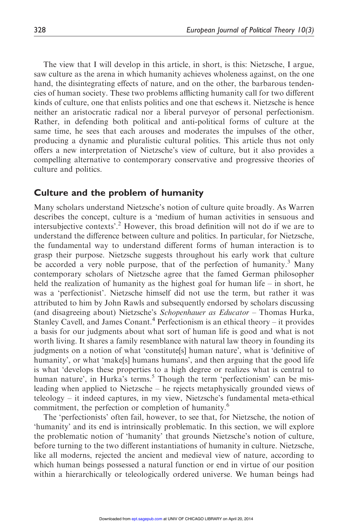The view that I will develop in this article, in short, is this: Nietzsche, I argue, saw culture as the arena in which humanity achieves wholeness against, on the one hand, the disintegrating effects of nature, and on the other, the barbarous tendencies of human society. These two problems afflicting humanity call for two different kinds of culture, one that enlists politics and one that eschews it. Nietzsche is hence neither an aristocratic radical nor a liberal purveyor of personal perfectionism. Rather, in defending both political and anti-political forms of culture at the same time, he sees that each arouses and moderates the impulses of the other, producing a dynamic and pluralistic cultural politics. This article thus not only offers a new interpretation of Nietzsche's view of culture, but it also provides a compelling alternative to contemporary conservative and progressive theories of culture and politics.

#### Culture and the problem of humanity

Many scholars understand Nietzsche's notion of culture quite broadly. As Warren describes the concept, culture is a 'medium of human activities in sensuous and intersubjective contexts'.<sup>2</sup> However, this broad definition will not do if we are to understand the difference between culture and politics. In particular, for Nietzsche, the fundamental way to understand different forms of human interaction is to grasp their purpose. Nietzsche suggests throughout his early work that culture be accorded a very noble purpose, that of the perfection of humanity.<sup>3</sup> Many contemporary scholars of Nietzsche agree that the famed German philosopher held the realization of humanity as the highest goal for human life – in short, he was a 'perfectionist'. Nietzsche himself did not use the term, but rather it was attributed to him by John Rawls and subsequently endorsed by scholars discussing (and disagreeing about) Nietzsche's Schopenhauer as Educator – Thomas Hurka, Stanley Cavell, and James Conant.<sup>4</sup> Perfectionism is an ethical theory – it provides a basis for our judgments about what sort of human life is good and what is not worth living. It shares a family resemblance with natural law theory in founding its judgments on a notion of what 'constitute[s] human nature', what is 'definitive of humanity', or what 'make[s] humans humans', and then arguing that the good life is what 'develops these properties to a high degree or realizes what is central to human nature', in Hurka's terms.<sup>5</sup> Though the term 'perfectionism' can be misleading when applied to Nietzsche – he rejects metaphysically grounded views of teleology – it indeed captures, in my view, Nietzsche's fundamental meta-ethical commitment, the perfection or completion of humanity.<sup>6</sup>

The 'perfectionists' often fail, however, to see that, for Nietzsche, the notion of 'humanity' and its end is intrinsically problematic. In this section, we will explore the problematic notion of 'humanity' that grounds Nietzsche's notion of culture, before turning to the two different instantiations of humanity in culture. Nietzsche, like all moderns, rejected the ancient and medieval view of nature, according to which human beings possessed a natural function or end in virtue of our position within a hierarchically or teleologically ordered universe. We human beings had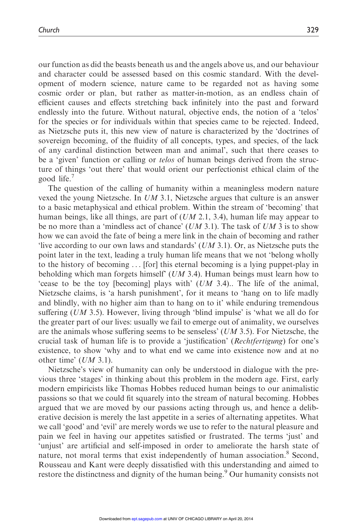our function as did the beasts beneath us and the angels above us, and our behaviour and character could be assessed based on this cosmic standard. With the development of modern science, nature came to be regarded not as having some cosmic order or plan, but rather as matter-in-motion, as an endless chain of efficient causes and effects stretching back infinitely into the past and forward endlessly into the future. Without natural, objective ends, the notion of a 'telos' for the species or for individuals within that species came to be rejected. Indeed, as Nietzsche puts it, this new view of nature is characterized by the 'doctrines of sovereign becoming, of the fluidity of all concepts, types, and species, of the lack of any cardinal distinction between man and animal', such that there ceases to be a 'given' function or calling or telos of human beings derived from the structure of things 'out there' that would orient our perfectionist ethical claim of the good life.<sup>7</sup>

The question of the calling of humanity within a meaningless modern nature vexed the young Nietzsche. In UM 3.1, Nietzsche argues that culture is an answer to a basic metaphysical and ethical problem. Within the stream of 'becoming' that human beings, like all things, are part of  $(UM 2.1, 3.4)$ , human life may appear to be no more than a 'mindless act of chance' (UM 3.1). The task of UM 3 is to show how we can avoid the fate of being a mere link in the chain of becoming and rather 'live according to our own laws and standards'  $(UM 3.1)$ . Or, as Nietzsche puts the point later in the text, leading a truly human life means that we not 'belong wholly to the history of becoming ... [for] this eternal becoming is a lying puppet-play in beholding which man forgets himself' ( $UM$  3.4). Human beings must learn how to 'cease to be the toy [becoming] plays with'  $(UM\ 3.4)$ .. The life of the animal, Nietzsche claims, is 'a harsh punishment', for it means to 'hang on to life madly and blindly, with no higher aim than to hang on to it' while enduring tremendous suffering  $(UM 3.5)$ . However, living through 'blind impulse' is 'what we all do for the greater part of our lives: usually we fail to emerge out of animality, we ourselves are the animals whose suffering seems to be senseless' (UM 3.5). For Nietzsche, the crucial task of human life is to provide a 'justification' (Rechtfertigung) for one's existence, to show 'why and to what end we came into existence now and at no other time' (UM 3.1).

Nietzsche's view of humanity can only be understood in dialogue with the previous three 'stages' in thinking about this problem in the modern age. First, early modern empiricists like Thomas Hobbes reduced human beings to our animalistic passions so that we could fit squarely into the stream of natural becoming. Hobbes argued that we are moved by our passions acting through us, and hence a deliberative decision is merely the last appetite in a series of alternating appetites. What we call 'good' and 'evil' are merely words we use to refer to the natural pleasure and pain we feel in having our appetites satisfied or frustrated. The terms 'just' and 'unjust' are artificial and self-imposed in order to ameliorate the harsh state of nature, not moral terms that exist independently of human association.<sup>8</sup> Second, Rousseau and Kant were deeply dissatisfied with this understanding and aimed to restore the distinctness and dignity of the human being.<sup>9</sup> Our humanity consists not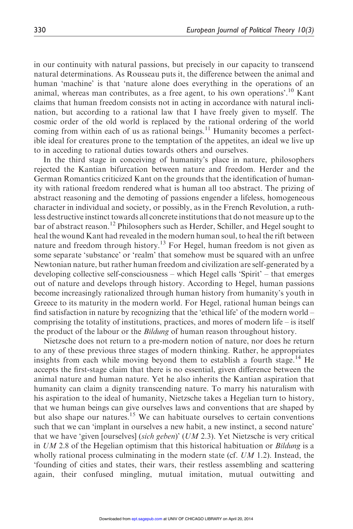in our continuity with natural passions, but precisely in our capacity to transcend natural determinations. As Rousseau puts it, the difference between the animal and human 'machine' is that 'nature alone does everything in the operations of an animal, whereas man contributes, as a free agent, to his own operations'.<sup>10</sup> Kant claims that human freedom consists not in acting in accordance with natural inclination, but according to a rational law that I have freely given to myself. The cosmic order of the old world is replaced by the rational ordering of the world coming from within each of us as rational beings.<sup>11</sup> Humanity becomes a perfectible ideal for creatures prone to the temptation of the appetites, an ideal we live up to in acceding to rational duties towards others and ourselves.

In the third stage in conceiving of humanity's place in nature, philosophers rejected the Kantian bifurcation between nature and freedom. Herder and the German Romantics criticized Kant on the grounds that the identification of humanity with rational freedom rendered what is human all too abstract. The prizing of abstract reasoning and the demoting of passions engender a lifeless, homogeneous character in individual and society, or possibly, as in the French Revolution, a ruthless destructive instinct towards all concrete institutions that do not measure up to the bar of abstract reason.<sup>12</sup> Philosophers such as Herder, Schiller, and Hegel sought to heal the wound Kant had revealed in the modern human soul, to heal the rift between nature and freedom through history.<sup>13</sup> For Hegel, human freedom is not given as some separate 'substance' or 'realm' that somehow must be squared with an unfree Newtonian nature, but rather human freedom and civilization are self-generated by a developing collective self-consciousness – which Hegel calls 'Spirit' – that emerges out of nature and develops through history. According to Hegel, human passions become increasingly rationalized through human history from humanity's youth in Greece to its maturity in the modern world. For Hegel, rational human beings can find satisfaction in nature by recognizing that the 'ethical life' of the modern world – comprising the totality of institutions, practices, and mores of modern life – is itself the product of the labour or the *Bildung* of human reason throughout history.

Nietzsche does not return to a pre-modern notion of nature, nor does he return to any of these previous three stages of modern thinking. Rather, he appropriates insights from each while moving beyond them to establish a fourth stage.<sup>14</sup> He accepts the first-stage claim that there is no essential, given difference between the animal nature and human nature. Yet he also inherits the Kantian aspiration that humanity can claim a dignity transcending nature. To marry his naturalism with his aspiration to the ideal of humanity, Nietzsche takes a Hegelian turn to history, that we human beings can give ourselves laws and conventions that are shaped by but also shape our natures.<sup>15</sup> We can habituate ourselves to certain conventions such that we can 'implant in ourselves a new habit, a new instinct, a second nature' that we have 'given [ourselves] (sich geben)' (UM 2.3). Yet Nietzsche is very critical in  $UM$  2.8 of the Hegelian optimism that this historical habituation or *Bildung* is a wholly rational process culminating in the modern state (cf.  $UM$  1.2). Instead, the 'founding of cities and states, their wars, their restless assembling and scattering again, their confused mingling, mutual imitation, mutual outwitting and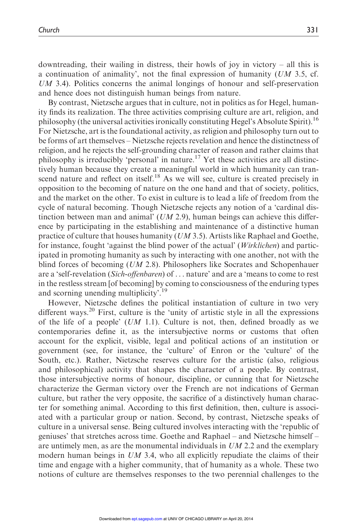downtreading, their wailing in distress, their howls of joy in victory – all this is a continuation of animality', not the final expression of humanity (UM 3.5, cf. UM 3.4). Politics concerns the animal longings of honour and self-preservation and hence does not distinguish human beings from nature.

By contrast, Nietzsche argues that in culture, not in politics as for Hegel, humanity finds its realization. The three activities comprising culture are art, religion, and philosophy (the universal activities ironically constituting Hegel's Absolute Spirit).<sup>16</sup> For Nietzsche, art is the foundational activity, as religion and philosophy turn out to be forms of art themselves – Nietzsche rejects revelation and hence the distinctness of religion, and he rejects the self-grounding character of reason and rather claims that philosophy is irreducibly 'personal' in nature.<sup>17</sup> Yet these activities are all distinctively human because they create a meaningful world in which humanity can transcend nature and reflect on itself.<sup>18</sup> As we will see, culture is created precisely in opposition to the becoming of nature on the one hand and that of society, politics, and the market on the other. To exist in culture is to lead a life of freedom from the cycle of natural becoming. Though Nietzsche rejects any notion of a 'cardinal distinction between man and animal' ( $UM 2.9$ ), human beings can achieve this difference by participating in the establishing and maintenance of a distinctive human practice of culture that houses humanity  $(UM 3.5)$ . Artists like Raphael and Goethe, for instance, fought 'against the blind power of the actual' (Wirklichen) and participated in promoting humanity as such by interacting with one another, not with the blind forces of becoming (UM 2.8). Philosophers like Socrates and Schopenhauer are a 'self-revelation (Sich-offenbaren) of ... nature' and are a 'means to come to rest in the restless stream [of becoming] by coming to consciousness of the enduring types and scorning unending multiplicity'.<sup>19</sup>

However, Nietzsche defines the political instantiation of culture in two very different ways.<sup>20</sup> First, culture is the 'unity of artistic style in all the expressions of the life of a people'  $(UM 1.1)$ . Culture is not, then, defined broadly as we contemporaries define it, as the intersubjective norms or customs that often account for the explicit, visible, legal and political actions of an institution or government (see, for instance, the 'culture' of Enron or the 'culture' of the South, etc.). Rather, Nietzsche reserves culture for the artistic (also, religious and philosophical) activity that shapes the character of a people. By contrast, those intersubjective norms of honour, discipline, or cunning that for Nietzsche characterize the German victory over the French are not indications of German culture, but rather the very opposite, the sacrifice of a distinctively human character for something animal. According to this first definition, then, culture is associated with a particular group or nation. Second, by contrast, Nietzsche speaks of culture in a universal sense. Being cultured involves interacting with the 'republic of geniuses' that stretches across time. Goethe and Raphael – and Nietzsche himself – are untimely men, as are the monumental individuals in UM 2.2 and the exemplary modern human beings in UM 3.4, who all explicitly repudiate the claims of their time and engage with a higher community, that of humanity as a whole. These two notions of culture are themselves responses to the two perennial challenges to the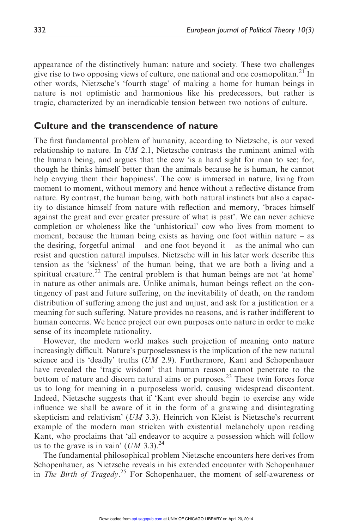appearance of the distinctively human: nature and society. These two challenges give rise to two opposing views of culture, one national and one cosmopolitan.<sup>21</sup> In other words, Nietzsche's 'fourth stage' of making a home for human beings in nature is not optimistic and harmonious like his predecessors, but rather is tragic, characterized by an ineradicable tension between two notions of culture.

### Culture and the transcendence of nature

The first fundamental problem of humanity, according to Nietzsche, is our vexed relationship to nature. In  $UM$  2.1, Nietzsche contrasts the ruminant animal with the human being, and argues that the cow 'is a hard sight for man to see; for, though he thinks himself better than the animals because he is human, he cannot help envying them their happiness'. The cow is immersed in nature, living from moment to moment, without memory and hence without a reflective distance from nature. By contrast, the human being, with both natural instincts but also a capacity to distance himself from nature with reflection and memory, 'braces himself against the great and ever greater pressure of what is past'. We can never achieve completion or wholeness like the 'unhistorical' cow who lives from moment to moment, because the human being exists as having one foot within nature – as the desiring, forgetful animal – and one foot beyond it – as the animal who can resist and question natural impulses. Nietzsche will in his later work describe this tension as the 'sickness' of the human being, that we are both a living and a spiritual creature.<sup>22</sup> The central problem is that human beings are not 'at home' in nature as other animals are. Unlike animals, human beings reflect on the contingency of past and future suffering, on the inevitability of death, on the random distribution of suffering among the just and unjust, and ask for a justification or a meaning for such suffering. Nature provides no reasons, and is rather indifferent to human concerns. We hence project our own purposes onto nature in order to make sense of its incomplete rationality.

However, the modern world makes such projection of meaning onto nature increasingly difficult. Nature's purposelessness is the implication of the new natural science and its 'deadly' truths (UM 2.9). Furthermore, Kant and Schopenhauer have revealed the 'tragic wisdom' that human reason cannot penetrate to the bottom of nature and discern natural aims or purposes.<sup>23</sup> These twin forces force us to long for meaning in a purposeless world, causing widespread discontent. Indeed, Nietzsche suggests that if 'Kant ever should begin to exercise any wide influence we shall be aware of it in the form of a gnawing and disintegrating skepticism and relativism' (UM 3.3). Heinrich von Kleist is Nietzsche's recurrent example of the modern man stricken with existential melancholy upon reading Kant, who proclaims that 'all endeavor to acquire a possession which will follow us to the grave is in vain'  $(UM\ 3.3).^{24}$ 

The fundamental philosophical problem Nietzsche encounters here derives from Schopenhauer, as Nietzsche reveals in his extended encounter with Schopenhauer in The Birth of Tragedy.<sup>25</sup> For Schopenhauer, the moment of self-awareness or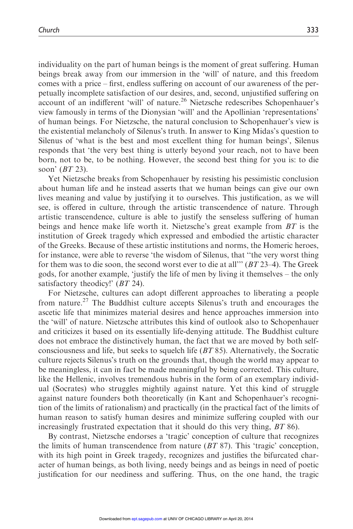individuality on the part of human beings is the moment of great suffering. Human beings break away from our immersion in the 'will' of nature, and this freedom comes with a price – first, endless suffering on account of our awareness of the perpetually incomplete satisfaction of our desires, and, second, unjustified suffering on account of an indifferent 'will' of nature.<sup>26</sup> Nietzsche redescribes Schopenhauer's view famously in terms of the Dionysian 'will' and the Apollinian 'representations' of human beings. For Nietzsche, the natural conclusion to Schopenhauer's view is the existential melancholy of Silenus's truth. In answer to King Midas's question to Silenus of 'what is the best and most excellent thing for human beings', Silenus responds that 'the very best thing is utterly beyond your reach, not to have been born, not to be, to be nothing. However, the second best thing for you is: to die soon' (BT 23).

Yet Nietzsche breaks from Schopenhauer by resisting his pessimistic conclusion about human life and he instead asserts that we human beings can give our own lives meaning and value by justifying it to ourselves. This justification, as we will see, is offered in culture, through the artistic transcendence of nature. Through artistic transcendence, culture is able to justify the senseless suffering of human beings and hence make life worth it. Nietzsche's great example from BT is the institution of Greek tragedy which expressed and embodied the artistic character of the Greeks. Because of these artistic institutions and norms, the Homeric heroes, for instance, were able to reverse 'the wisdom of Silenus, that ''the very worst thing for them was to die soon, the second worst ever to die at all''' (BT 23–4). The Greek gods, for another example, 'justify the life of men by living it themselves – the only satisfactory theodicy!' (BT 24).

For Nietzsche, cultures can adopt different approaches to liberating a people from nature.<sup>27</sup> The Buddhist culture accepts Silenus's truth and encourages the ascetic life that minimizes material desires and hence approaches immersion into the 'will' of nature. Nietzsche attributes this kind of outlook also to Schopenhauer and criticizes it based on its essentially life-denying attitude. The Buddhist culture does not embrace the distinctively human, the fact that we are moved by both selfconsciousness and life, but seeks to squelch life (BT 85). Alternatively, the Socratic culture rejects Silenus's truth on the grounds that, though the world may appear to be meaningless, it can in fact be made meaningful by being corrected. This culture, like the Hellenic, involves tremendous hubris in the form of an exemplary individual (Socrates) who struggles mightily against nature. Yet this kind of struggle against nature founders both theoretically (in Kant and Schopenhauer's recognition of the limits of rationalism) and practically (in the practical fact of the limits of human reason to satisfy human desires and minimize suffering coupled with our increasingly frustrated expectation that it should do this very thing, BT 86).

By contrast, Nietzsche endorses a 'tragic' conception of culture that recognizes the limits of human transcendence from nature  $(BT 87)$ . This 'tragic' conception, with its high point in Greek tragedy, recognizes and justifies the bifurcated character of human beings, as both living, needy beings and as beings in need of poetic justification for our neediness and suffering. Thus, on the one hand, the tragic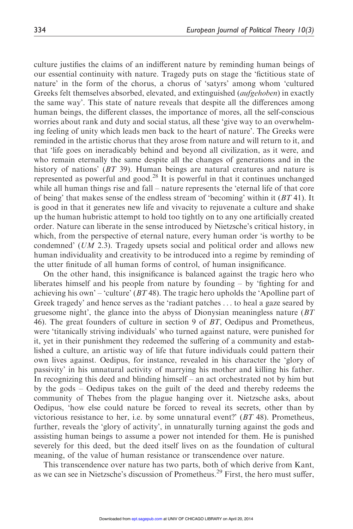culture justifies the claims of an indifferent nature by reminding human beings of our essential continuity with nature. Tragedy puts on stage the 'fictitious state of nature' in the form of the chorus, a chorus of 'satyrs' among whom 'cultured Greeks felt themselves absorbed, elevated, and extinguished *(aufgehoben)* in exactly the same way'. This state of nature reveals that despite all the differences among human beings, the different classes, the importance of mores, all the self-conscious worries about rank and duty and social status, all these 'give way to an overwhelming feeling of unity which leads men back to the heart of nature'. The Greeks were reminded in the artistic chorus that they arose from nature and will return to it, and that 'life goes on ineradicably behind and beyond all civilization, as it were, and who remain eternally the same despite all the changes of generations and in the history of nations'  $(BT 39)$ . Human beings are natural creatures and nature is represented as powerful and good.<sup>28</sup> It is powerful in that it continues unchanged while all human things rise and fall – nature represents the 'eternal life of that core of being' that makes sense of the endless stream of 'becoming' within it  $(BT 41)$ . It is good in that it generates new life and vivacity to rejuvenate a culture and shake up the human hubristic attempt to hold too tightly on to any one artificially created order. Nature can liberate in the sense introduced by Nietzsche's critical history, in which, from the perspective of eternal nature, every human order 'is worthy to be condemned' (UM 2.3). Tragedy upsets social and political order and allows new human individuality and creativity to be introduced into a regime by reminding of the utter finitude of all human forms of control, of human insignificance.

On the other hand, this insignificance is balanced against the tragic hero who liberates himself and his people from nature by founding – by 'fighting for and achieving his own' – 'culture'  $(BT 48)$ . The tragic hero upholds the 'Apolline part of Greek tragedy' and hence serves as the 'radiant patches ... to heal a gaze seared by gruesome night', the glance into the abyss of Dionysian meaningless nature  $(BT)$ 46). The great founders of culture in section 9 of BT, Oedipus and Prometheus, were 'titanically striving individuals' who turned against nature, were punished for it, yet in their punishment they redeemed the suffering of a community and established a culture, an artistic way of life that future individuals could pattern their own lives against. Oedipus, for instance, revealed in his character the 'glory of passivity' in his unnatural activity of marrying his mother and killing his father. In recognizing this deed and blinding himself – an act orchestrated not by him but by the gods – Oedipus takes on the guilt of the deed and thereby redeems the community of Thebes from the plague hanging over it. Nietzsche asks, about Oedipus, 'how else could nature be forced to reveal its secrets, other than by victorious resistance to her, i.e. by some unnatural event?'  $(BT 48)$ . Prometheus, further, reveals the 'glory of activity', in unnaturally turning against the gods and assisting human beings to assume a power not intended for them. He is punished severely for this deed, but the deed itself lives on as the foundation of cultural meaning, of the value of human resistance or transcendence over nature.

This transcendence over nature has two parts, both of which derive from Kant, as we can see in Nietzsche's discussion of Prometheus.<sup>29</sup> First, the hero must suffer,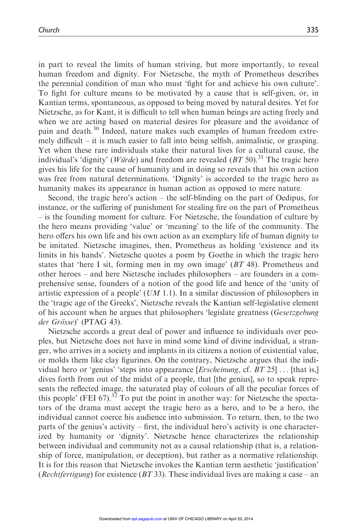in part to reveal the limits of human striving, but more importantly, to reveal human freedom and dignity. For Nietzsche, the myth of Prometheus describes the perennial condition of man who must 'fight for and achieve his own culture'. To fight for culture means to be motivated by a cause that is self-given, or, in Kantian terms, spontaneous, as opposed to being moved by natural desires. Yet for Nietzsche, as for Kant, it is difficult to tell when human beings are acting freely and when we are acting based on material desires for pleasure and the avoidance of pain and death.<sup>30</sup> Indeed, nature makes such examples of human freedom extremely difficult – it is much easier to fall into being selfish, animalistic, or grasping. Yet when these rare individuals stake their natural lives for a cultural cause, the individual's 'dignity' (Würde) and freedom are revealed (BT 50).<sup>31</sup> The tragic hero gives his life for the cause of humanity and in doing so reveals that his own action was free from natural determinations. 'Dignity' is accorded to the tragic hero as humanity makes its appearance in human action as opposed to mere nature.

Second, the tragic hero's action – the self-blinding on the part of Oedipus, for instance, or the suffering of punishment for stealing fire on the part of Prometheus – is the founding moment for culture. For Nietzsche, the foundation of culture by the hero means providing 'value' or 'meaning' to the life of the community. The hero offers his own life and his own action as an exemplary life of human dignity to be imitated. Nietzsche imagines, then, Prometheus as holding 'existence and its limits in his hands'. Nietzsche quotes a poem by Goethe in which the tragic hero states that 'here I sit, forming men in my own image' (BT 48). Prometheus and other heroes – and here Nietzsche includes philosophers – are founders in a comprehensive sense, founders of a notion of the good life and hence of the 'unity of artistic expression of a people'  $(UM 1.1)$ . In a similar discussion of philosophers in the 'tragic age of the Greeks', Nietzsche reveals the Kantian self-legislative element of his account when he argues that philosophers 'legislate greatness (Gesetzgebung der Grösse)' (PTAG 43).

Nietzsche accords a great deal of power and influence to individuals over peoples, but Nietzsche does not have in mind some kind of divine individual, a stranger, who arrives in a society and implants in its citizens a notion of existential value, or molds them like clay figurines. On the contrary, Nietzsche argues that the individual hero or 'genius' 'steps into appearance [*Erscheinung*, cf.  $BT$  25] ... [that is,] dives forth from out of the midst of a people, that [the genius], so to speak represents the reflected image, the saturated play of colours of all the peculiar forces of this people' (FEI 67).<sup>32</sup> To put the point in another way: for Nietzsche the spectators of the drama must accept the tragic hero as a hero, and to be a hero, the individual cannot coerce his audience into submission. To return, then, to the two parts of the genius's activity – first, the individual hero's activity is one characterized by humanity or 'dignity'. Nietzsche hence characterizes the relationship between individual and community not as a causal relationship (that is, a relationship of force, manipulation, or deception), but rather as a normative relationship. It is for this reason that Nietzsche invokes the Kantian term aesthetic 'justification' (*Rechtfertigung*) for existence (*BT* 33). These individual lives are making a case – an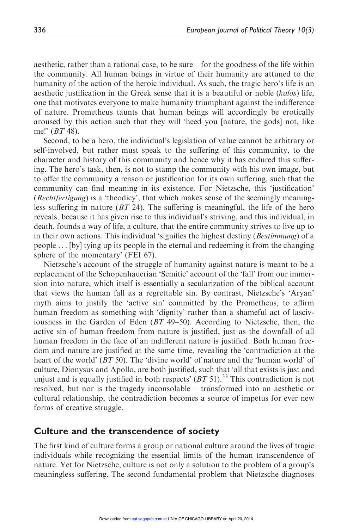aesthetic, rather than a rational case, to be sure – for the goodness of the life within the community. All human beings in virtue of their humanity are attuned to the humanity of the action of the heroic individual. As such, the tragic hero's life is an aesthetic justification in the Greek sense that it is a beautiful or noble (kalos) life, one that motivates everyone to make humanity triumphant against the indifference of nature. Prometheus taunts that human beings will accordingly be erotically aroused by this action such that they will 'heed you [nature, the gods] not, like me!' (BT 48).

Second, to be a hero, the individual's legislation of value cannot be arbitrary or self-involved, but rather must speak to the suffering of this community, to the character and history of this community and hence why it has endured this suffering. The hero's task, then, is not to stamp the community with his own image, but to offer the community a reason or justification for its own suffering, such that the community can find meaning in its existence. For Nietzsche, this 'justification' (*Rechtfertigung*) is a 'theodicy', that which makes sense of the seemingly meaningless suffering in nature  $(BT 24)$ . The suffering is meaningful, the life of the hero reveals, because it has given rise to this individual's striving, and this individual, in death, founds a way of life, a culture, that the entire community strives to live up to in their own actions. This individual 'signifies the highest destiny (*Bestimmung*) of a people ... [by] tying up its people in the eternal and redeeming it from the changing sphere of the momentary' (FEI 67).

Nietzsche's account of the struggle of humanity against nature is meant to be a replacement of the Schopenhauerian 'Semitic' account of the 'fall' from our immersion into nature, which itself is essentially a secularization of the biblical account that views the human fall as a regrettable sin. By contrast, Nietzsche's 'Aryan' myth aims to justify the 'active sin' committed by the Prometheus, to affirm human freedom as something with 'dignity' rather than a shameful act of lasciviousness in the Garden of Eden  $(BT 49-50)$ . According to Nietzsche, then, the active sin of human freedom from nature is justified, just as the downfall of all human freedom in the face of an indifferent nature is justified. Both human freedom and nature are justified at the same time, revealing the 'contradiction at the heart of the world' (*BT* 50). The 'divine world' of nature and the 'human world' of culture, Dionysus and Apollo, are both justified, such that 'all that exists is just and unjust and is equally justified in both respects'  $(BT 51).$ <sup>33</sup> This contradiction is not resolved, but nor is the tragedy inconsolable – transformed into an aesthetic or cultural relationship, the contradiction becomes a source of impetus for ever new forms of creative struggle.

#### Culture and the transcendence of society

The first kind of culture forms a group or national culture around the lives of tragic individuals while recognizing the essential limits of the human transcendence of nature. Yet for Nietzsche, culture is not only a solution to the problem of a group's meaningless suffering. The second fundamental problem that Nietzsche diagnoses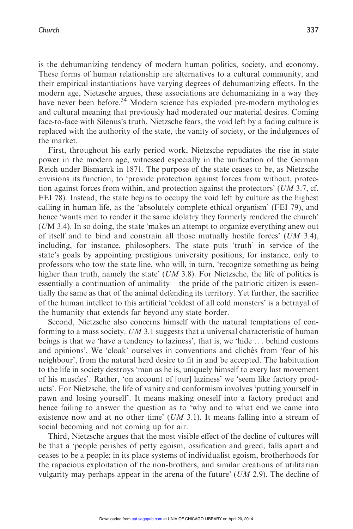is the dehumanizing tendency of modern human politics, society, and economy. These forms of human relationship are alternatives to a cultural community, and their empirical instantiations have varying degrees of dehumanizing effects. In the modern age, Nietzsche argues, these associations are dehumanizing in a way they have never been before.<sup>34</sup> Modern science has exploded pre-modern mythologies and cultural meaning that previously had moderated our material desires. Coming face-to-face with Silenus's truth, Nietzsche fears, the void left by a fading culture is replaced with the authority of the state, the vanity of society, or the indulgences of the market.

First, throughout his early period work, Nietzsche repudiates the rise in state power in the modern age, witnessed especially in the unification of the German Reich under Bismarck in 1871. The purpose of the state ceases to be, as Nietzsche envisions its function, to 'provide protection against forces from without, protection against forces from within, and protection against the protectors' ( $UM$  3.7, cf. FEI 78). Instead, the state begins to occupy the void left by culture as the highest calling in human life, as the 'absolutely complete ethical organism' (FEI 79), and hence 'wants men to render it the same idolatry they formerly rendered the church' (UM 3.4). In so doing, the state 'makes an attempt to organize everything anew out of itself and to bind and constrain all those mutually hostile forces'  $(UM\ 3.4)$ , including, for instance, philosophers. The state puts 'truth' in service of the state's goals by appointing prestigious university positions, for instance, only to professors who tow the state line, who will, in turn, 'recognize something as being higher than truth, namely the state'  $(UM 3.8)$ . For Nietzsche, the life of politics is essentially a continuation of animality – the pride of the patriotic citizen is essentially the same as that of the animal defending its territory. Yet further, the sacrifice of the human intellect to this artificial 'coldest of all cold monsters' is a betrayal of the humanity that extends far beyond any state border.

Second, Nietzsche also concerns himself with the natural temptations of conforming to a mass society.  $UM 3.1$  suggests that a universal characteristic of human beings is that we 'have a tendency to laziness', that is, we 'hide ... behind customs and opinions'. We 'cloak' ourselves in conventions and cliches from 'fear of his neighbour', from the natural herd desire to fit in and be accepted. The habituation to the life in society destroys 'man as he is, uniquely himself to every last movement of his muscles'. Rather, 'on account of [our] laziness' we 'seem like factory products'. For Nietzsche, the life of vanity and conformism involves 'putting yourself in pawn and losing yourself'. It means making oneself into a factory product and hence failing to answer the question as to 'why and to what end we came into existence now and at no other time'  $(UM 3.1)$ . It means falling into a stream of social becoming and not coming up for air.

Third, Nietzsche argues that the most visible effect of the decline of cultures will be that a 'people perishes of petty egoism, ossification and greed, falls apart and ceases to be a people; in its place systems of individualist egoism, brotherhoods for the rapacious exploitation of the non-brothers, and similar creations of utilitarian vulgarity may perhaps appear in the arena of the future'  $(UM 2.9)$ . The decline of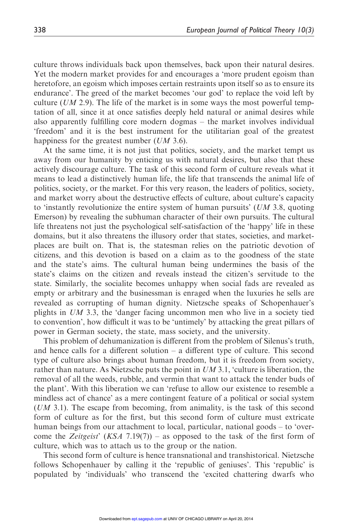culture throws individuals back upon themselves, back upon their natural desires. Yet the modern market provides for and encourages a 'more prudent egoism than heretofore, an egoism which imposes certain restraints upon itself so as to ensure its endurance'. The greed of the market becomes 'our god' to replace the void left by culture ( $UM$  2.9). The life of the market is in some ways the most powerful temptation of all, since it at once satisfies deeply held natural or animal desires while also apparently fulfilling core modern dogmas – the market involves individual 'freedom' and it is the best instrument for the utilitarian goal of the greatest happiness for the greatest number (UM 3.6).

At the same time, it is not just that politics, society, and the market tempt us away from our humanity by enticing us with natural desires, but also that these actively discourage culture. The task of this second form of culture reveals what it means to lead a distinctively human life, the life that transcends the animal life of politics, society, or the market. For this very reason, the leaders of politics, society, and market worry about the destructive effects of culture, about culture's capacity to 'instantly revolutionize the entire system of human pursuits'  $(UM\ 3.8,$  quoting Emerson) by revealing the subhuman character of their own pursuits. The cultural life threatens not just the psychological self-satisfaction of the 'happy' life in these domains, but it also threatens the illusory order that states, societies, and marketplaces are built on. That is, the statesman relies on the patriotic devotion of citizens, and this devotion is based on a claim as to the goodness of the state and the state's aims. The cultural human being undermines the basis of the state's claims on the citizen and reveals instead the citizen's servitude to the state. Similarly, the socialite becomes unhappy when social fads are revealed as empty or arbitrary and the businessman is enraged when the luxuries he sells are revealed as corrupting of human dignity. Nietzsche speaks of Schopenhauer's plights in  $UM$  3.3, the 'danger facing uncommon men who live in a society tied to convention', how difficult it was to be 'untimely' by attacking the great pillars of power in German society, the state, mass society, and the university.

This problem of dehumanization is different from the problem of Silenus's truth, and hence calls for a different solution  $-$  a different type of culture. This second type of culture also brings about human freedom, but it is freedom from society, rather than nature. As Nietzsche puts the point in  $UM$  3.1, 'culture is liberation, the removal of all the weeds, rubble, and vermin that want to attack the tender buds of the plant'. With this liberation we can 'refuse to allow our existence to resemble a mindless act of chance' as a mere contingent feature of a political or social system  $(UM 3.1)$ . The escape from becoming, from animality, is the task of this second form of culture as for the first, but this second form of culture must extricate human beings from our attachment to local, particular, national goods – to 'overcome the Zeitgeist'  $(KSA 7.19(7))$  – as opposed to the task of the first form of culture, which was to attach us to the group or the nation.

This second form of culture is hence transnational and transhistorical. Nietzsche follows Schopenhauer by calling it the 'republic of geniuses'. This 'republic' is populated by 'individuals' who transcend the 'excited chattering dwarfs who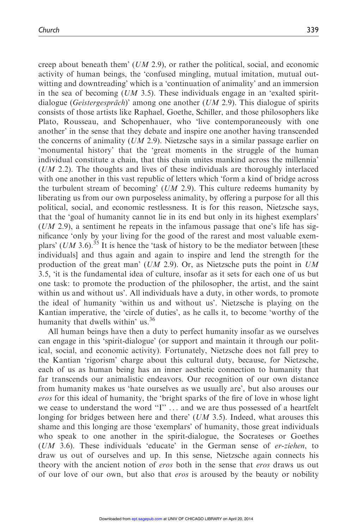creep about beneath them'  $(UM 2.9)$ , or rather the political, social, and economic activity of human beings, the 'confused mingling, mutual imitation, mutual outwitting and downtreading' which is a 'continuation of animality' and an immersion in the sea of becoming ( $UM$  3.5). These individuals engage in an 'exalted spiritdialogue (*Geistergespräch*)' among one another ( $UM$  2.9). This dialogue of spirits consists of those artists like Raphael, Goethe, Schiller, and those philosophers like Plato, Rousseau, and Schopenhauer, who 'live contemporaneously with one another' in the sense that they debate and inspire one another having transcended the concerns of animality  $(UM 2.9)$ . Nietzsche says in a similar passage earlier on 'monumental history' that the 'great moments in the struggle of the human individual constitute a chain, that this chain unites mankind across the millennia' (UM 2.2). The thoughts and lives of these individuals are thoroughly interlaced with one another in this vast republic of letters which 'form a kind of bridge across the turbulent stream of becoming'  $(UM 2.9)$ . This culture redeems humanity by liberating us from our own purposeless animality, by offering a purpose for all this political, social, and economic restlessness. It is for this reason, Nietzsche says, that the 'goal of humanity cannot lie in its end but only in its highest exemplars'  $(UM 2.9)$ , a sentiment he repeats in the infamous passage that one's life has significance 'only by your living for the good of the rarest and most valuable exemplars' (UM 3.6).<sup>35</sup> It is hence the 'task of history to be the mediator between [these individuals] and thus again and again to inspire and lend the strength for the production of the great man' ( $UM$  2.9). Or, as Nietzsche puts the point in  $UM$ 3.5, 'it is the fundamental idea of culture, insofar as it sets for each one of us but one task: to promote the production of the philosopher, the artist, and the saint within us and without us'. All individuals have a duty, in other words, to promote the ideal of humanity 'within us and without us'. Nietzsche is playing on the Kantian imperative, the 'circle of duties', as he calls it, to become 'worthy of the humanity that dwells within' us.<sup>36</sup>

All human beings have then a duty to perfect humanity insofar as we ourselves can engage in this 'spirit-dialogue' (or support and maintain it through our political, social, and economic activity). Fortunately, Nietzsche does not fall prey to the Kantian 'rigorism' charge about this cultural duty, because, for Nietzsche, each of us as human being has an inner aesthetic connection to humanity that far transcends our animalistic endeavors. Our recognition of our own distance from humanity makes us 'hate ourselves as we usually are', but also arouses our eros for this ideal of humanity, the 'bright sparks of the fire of love in whose light we cease to understand the word "I" ... and we are thus possessed of a heartfelt longing for bridges between here and there' (UM 3.5). Indeed, what arouses this shame and this longing are those 'exemplars' of humanity, those great individuals who speak to one another in the spirit-dialogue, the Socrateses or Goethes (UM 3.6). These individuals 'educate' in the German sense of er-ziehen, to draw us out of ourselves and up. In this sense, Nietzsche again connects his theory with the ancient notion of eros both in the sense that eros draws us out of our love of our own, but also that *eros* is aroused by the beauty or nobility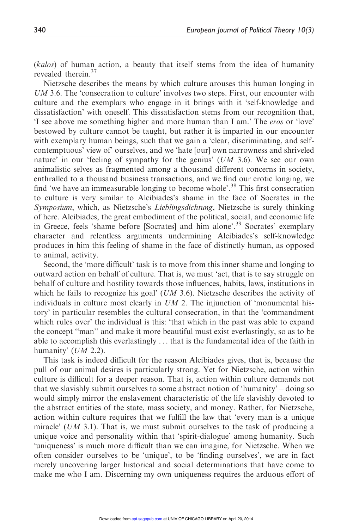(kalos) of human action, a beauty that itself stems from the idea of humanity revealed therein.<sup>37</sup>

Nietzsche describes the means by which culture arouses this human longing in UM 3.6. The 'consecration to culture' involves two steps. First, our encounter with culture and the exemplars who engage in it brings with it 'self-knowledge and dissatisfaction' with oneself. This dissatisfaction stems from our recognition that, 'I see above me something higher and more human than I am.' The eros or 'love' bestowed by culture cannot be taught, but rather it is imparted in our encounter with exemplary human beings, such that we gain a 'clear, discriminating, and selfcontemptuous' view of' ourselves, and we 'hate [our] own narrowness and shriveled nature' in our 'feeling of sympathy for the genius'  $(UM\ 3.6)$ . We see our own animalistic selves as fragmented among a thousand different concerns in society, enthralled to a thousand business transactions, and we find our erotic longing, we find 'we have an immeasurable longing to become whole'.<sup>38</sup> This first consecration to culture is very similar to Alcibiades's shame in the face of Socrates in the Symposium, which, as Nietzsche's Lieblingsdichtung, Nietzsche is surely thinking of here. Alcibiades, the great embodiment of the political, social, and economic life in Greece, feels 'shame before [Socrates] and him alone'.<sup>39</sup> Socrates' exemplary character and relentless arguments undermining Alcibiades's self-knowledge produces in him this feeling of shame in the face of distinctly human, as opposed to animal, activity.

Second, the 'more difficult' task is to move from this inner shame and longing to outward action on behalf of culture. That is, we must 'act, that is to say struggle on behalf of culture and hostility towards those influences, habits, laws, institutions in which he fails to recognize his goal'  $(UM\ 3.6)$ . Nietzsche describes the activity of individuals in culture most clearly in  $UM$  2. The injunction of 'monumental history' in particular resembles the cultural consecration, in that the 'commandment which rules over' the individual is this: 'that which in the past was able to expand the concept ''man'' and make it more beautiful must exist everlastingly, so as to be able to accomplish this everlastingly ... that is the fundamental idea of the faith in humanity'  $(UM 2.2)$ .

This task is indeed difficult for the reason Alcibiades gives, that is, because the pull of our animal desires is particularly strong. Yet for Nietzsche, action within culture is difficult for a deeper reason. That is, action within culture demands not that we slavishly submit ourselves to some abstract notion of 'humanity' – doing so would simply mirror the enslavement characteristic of the life slavishly devoted to the abstract entities of the state, mass society, and money. Rather, for Nietzsche, action within culture requires that we fulfill the law that 'every man is a unique miracle' (UM 3.1). That is, we must submit ourselves to the task of producing a unique voice and personality within that 'spirit-dialogue' among humanity. Such 'uniqueness' is much more difficult than we can imagine, for Nietzsche. When we often consider ourselves to be 'unique', to be 'finding ourselves', we are in fact merely uncovering larger historical and social determinations that have come to make me who I am. Discerning my own uniqueness requires the arduous effort of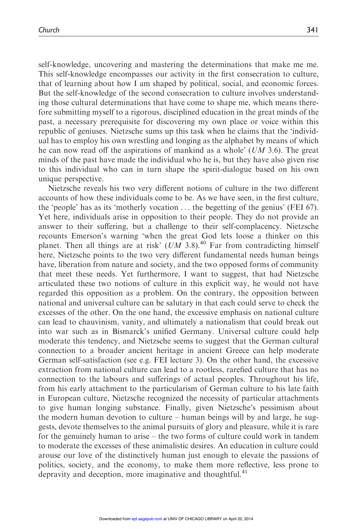self-knowledge, uncovering and mastering the determinations that make me me. This self-knowledge encompasses our activity in the first consecration to culture, that of learning about how I am shaped by political, social, and economic forces. But the self-knowledge of the second consecration to culture involves understanding those cultural determinations that have come to shape me, which means therefore submitting myself to a rigorous, disciplined education in the great minds of the past, a necessary prerequisite for discovering my own place or voice within this republic of geniuses. Nietzsche sums up this task when he claims that the 'individual has to employ his own wrestling and longing as the alphabet by means of which he can now read off the aspirations of mankind as a whole' (UM 3.6). The great minds of the past have made the individual who he is, but they have also given rise to this individual who can in turn shape the spirit-dialogue based on his own unique perspective.

Nietzsche reveals his two very different notions of culture in the two different accounts of how these individuals come to be. As we have seen, in the first culture, the 'people' has as its 'motherly vocation ... the begetting of the genius' (FEI 67). Yet here, individuals arise in opposition to their people. They do not provide an answer to their suffering, but a challenge to their self-complacency. Nietzsche recounts Emerson's warning 'when the great God lets loose a thinker on this planet. Then all things are at risk'  $(UM\ 3.8)^{40}$  Far from contradicting himself here, Nietzsche points to the two very different fundamental needs human beings have, liberation from nature and society, and the two opposed forms of community that meet these needs. Yet furthermore, I want to suggest, that had Nietzsche articulated these two notions of culture in this explicit way, he would not have regarded this opposition as a problem. On the contrary, the opposition between national and universal culture can be salutary in that each could serve to check the excesses of the other. On the one hand, the excessive emphasis on national culture can lead to chauvinism, vanity, and ultimately a nationalism that could break out into war such as in Bismarck's unified Germany. Universal culture could help moderate this tendency, and Nietzsche seems to suggest that the German cultural connection to a broader ancient heritage in ancient Greece can help moderate German self-satisfaction (see e.g. FEI lecture 3). On the other hand, the excessive extraction from national culture can lead to a rootless, rarefied culture that has no connection to the labours and sufferings of actual peoples. Throughout his life, from his early attachment to the particularism of German culture to his late faith in European culture, Nietzsche recognized the necessity of particular attachments to give human longing substance. Finally, given Nietzsche's pessimism about the modern human devotion to culture – human beings will by and large, he suggests, devote themselves to the animal pursuits of glory and pleasure, while it is rare for the genuinely human to arise – the two forms of culture could work in tandem to moderate the excesses of these animalistic desires. An education in culture could arouse our love of the distinctively human just enough to elevate the passions of politics, society, and the economy, to make them more reflective, less prone to depravity and deception, more imaginative and thoughtful.<sup>41</sup>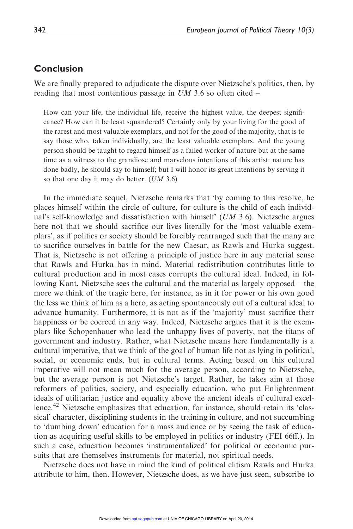### Conclusion

We are finally prepared to adjudicate the dispute over Nietzsche's politics, then, by reading that most contentious passage in  $UM$  3.6 so often cited –

How can your life, the individual life, receive the highest value, the deepest significance? How can it be least squandered? Certainly only by your living for the good of the rarest and most valuable exemplars, and not for the good of the majority, that is to say those who, taken individually, are the least valuable exemplars. And the young person should be taught to regard himself as a failed worker of nature but at the same time as a witness to the grandiose and marvelous intentions of this artist: nature has done badly, he should say to himself; but I will honor its great intentions by serving it so that one day it may do better.  $(UM\ 3.6)$ 

In the immediate sequel, Nietzsche remarks that 'by coming to this resolve, he places himself within the circle of culture, for culture is the child of each individual's self-knowledge and dissatisfaction with himself' ( $UM$  3.6). Nietzsche argues here not that we should sacrifice our lives literally for the 'most valuable exemplars', as if politics or society should be forcibly rearranged such that the many are to sacrifice ourselves in battle for the new Caesar, as Rawls and Hurka suggest. That is, Nietzsche is not offering a principle of justice here in any material sense that Rawls and Hurka has in mind. Material redistribution contributes little to cultural production and in most cases corrupts the cultural ideal. Indeed, in following Kant, Nietzsche sees the cultural and the material as largely opposed – the more we think of the tragic hero, for instance, as in it for power or his own good the less we think of him as a hero, as acting spontaneously out of a cultural ideal to advance humanity. Furthermore, it is not as if the 'majority' must sacrifice their happiness or be coerced in any way. Indeed, Nietzsche argues that it is the exemplars like Schopenhauer who lead the unhappy lives of poverty, not the titans of government and industry. Rather, what Nietzsche means here fundamentally is a cultural imperative, that we think of the goal of human life not as lying in political, social, or economic ends, but in cultural terms. Acting based on this cultural imperative will not mean much for the average person, according to Nietzsche, but the average person is not Nietzsche's target. Rather, he takes aim at those reformers of politics, society, and especially education, who put Enlightenment ideals of utilitarian justice and equality above the ancient ideals of cultural excellence.<sup>42</sup> Nietzsche emphasizes that education, for instance, should retain its 'classical' character, disciplining students in the training in culture, and not succumbing to 'dumbing down' education for a mass audience or by seeing the task of education as acquiring useful skills to be employed in politics or industry (FEI 66ff.). In such a case, education becomes 'instrumentalized' for political or economic pursuits that are themselves instruments for material, not spiritual needs.

Nietzsche does not have in mind the kind of political elitism Rawls and Hurka attribute to him, then. However, Nietzsche does, as we have just seen, subscribe to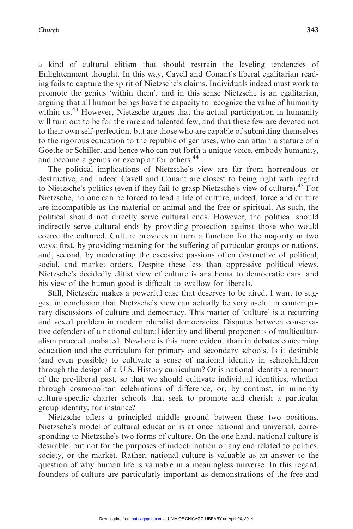a kind of cultural elitism that should restrain the leveling tendencies of Enlightenment thought. In this way, Cavell and Conant's liberal egalitarian reading fails to capture the spirit of Nietzsche's claims. Individuals indeed must work to promote the genius 'within them', and in this sense Nietzsche is an egalitarian, arguing that all human beings have the capacity to recognize the value of humanity within us.<sup>43</sup> However, Nietzsche argues that the actual participation in humanity will turn out to be for the rare and talented few, and that these few are devoted not to their own self-perfection, but are those who are capable of submitting themselves to the rigorous education to the republic of geniuses, who can attain a stature of a Goethe or Schiller, and hence who can put forth a unique voice, embody humanity, and become a genius or exemplar for others.<sup>44</sup>

The political implications of Nietzsche's view are far from horrendous or destructive, and indeed Cavell and Conant are closest to being right with regard to Nietzsche's politics (even if they fail to grasp Nietzsche's view of culture).<sup>45</sup> For Nietzsche, no one can be forced to lead a life of culture, indeed, force and culture are incompatible as the material or animal and the free or spiritual. As such, the political should not directly serve cultural ends. However, the political should indirectly serve cultural ends by providing protection against those who would coerce the cultured. Culture provides in turn a function for the majority in two ways: first, by providing meaning for the suffering of particular groups or nations, and, second, by moderating the excessive passions often destructive of political, social, and market orders. Despite these less than oppressive political views, Nietzsche's decidedly elitist view of culture is anathema to democratic ears, and his view of the human good is difficult to swallow for liberals.

Still, Nietzsche makes a powerful case that deserves to be aired. I want to suggest in conclusion that Nietzsche's view can actually be very useful in contemporary discussions of culture and democracy. This matter of 'culture' is a recurring and vexed problem in modern pluralist democracies. Disputes between conservative defenders of a national cultural identity and liberal proponents of multiculturalism proceed unabated. Nowhere is this more evident than in debates concerning education and the curriculum for primary and secondary schools. Is it desirable (and even possible) to cultivate a sense of national identity in schoolchildren through the design of a U.S. History curriculum? Or is national identity a remnant of the pre-liberal past, so that we should cultivate individual identities, whether through cosmopolitan celebrations of difference, or, by contrast, in minority culture-specific charter schools that seek to promote and cherish a particular group identity, for instance?

Nietzsche offers a principled middle ground between these two positions. Nietzsche's model of cultural education is at once national and universal, corresponding to Nietzsche's two forms of culture. On the one hand, national culture is desirable, but not for the purposes of indoctrination or any end related to politics, society, or the market. Rather, national culture is valuable as an answer to the question of why human life is valuable in a meaningless universe. In this regard, founders of culture are particularly important as demonstrations of the free and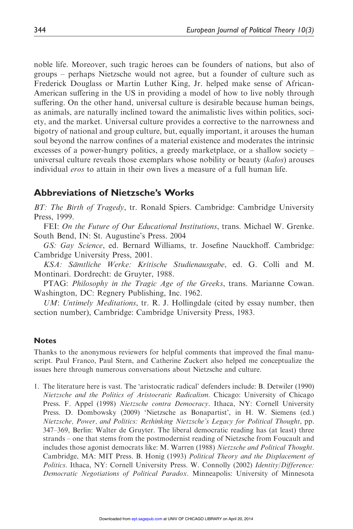noble life. Moreover, such tragic heroes can be founders of nations, but also of groups – perhaps Nietzsche would not agree, but a founder of culture such as Frederick Douglass or Martin Luther King, Jr. helped make sense of African-American suffering in the US in providing a model of how to live nobly through suffering. On the other hand, universal culture is desirable because human beings, as animals, are naturally inclined toward the animalistic lives within politics, society, and the market. Universal culture provides a corrective to the narrowness and bigotry of national and group culture, but, equally important, it arouses the human soul beyond the narrow confines of a material existence and moderates the intrinsic excesses of a power-hungry politics, a greedy marketplace, or a shallow society – universal culture reveals those exemplars whose nobility or beauty (kalos) arouses individual eros to attain in their own lives a measure of a full human life.

#### Abbreviations of Nietzsche's Works

BT: The Birth of Tragedy, tr. Ronald Spiers. Cambridge: Cambridge University Press, 1999.

FEI: On the Future of Our Educational Institutions, trans. Michael W. Grenke. South Bend, IN: St. Augustine's Press. 2004

GS: Gay Science, ed. Bernard Williams, tr. Josefine Nauckhoff. Cambridge: Cambridge University Press, 2001.

KSA: Sämtliche Werke: Kritische Studienausgabe, ed. G. Colli and M. Montinari. Dordrecht: de Gruyter, 1988.

PTAG: Philosophy in the Tragic Age of the Greeks, trans. Marianne Cowan. Washington, DC: Regnery Publishing, Inc. 1962.

UM: Untimely Meditations, tr. R. J. Hollingdale (cited by essay number, then section number), Cambridge: Cambridge University Press, 1983.

#### **Notes**

Thanks to the anonymous reviewers for helpful comments that improved the final manuscript. Paul Franco, Paul Stern, and Catherine Zuckert also helped me conceptualize the issues here through numerous conversations about Nietzsche and culture.

1. The literature here is vast. The 'aristocratic radical' defenders include: B. Detwiler (1990) Nietzsche and the Politics of Aristocratic Radicalism. Chicago: University of Chicago Press. F. Appel (1998) Nietzsche contra Democracy. Ithaca, NY: Cornell University Press. D. Dombowsky (2009) 'Nietzsche as Bonapartist', in H. W. Siemens (ed.) Nietzsche, Power, and Politics: Rethinking Nietzsche's Legacy for Political Thought, pp. 347–369, Berlin: Walter de Gruyter. The liberal democratic reading has (at least) three strands – one that stems from the postmodernist reading of Nietzsche from Foucault and includes those agonist democrats like: M. Warren (1988) Nietzsche and Political Thought. Cambridge, MA: MIT Press. B. Honig (1993) Political Theory and the Displacement of Politics. Ithaca, NY: Cornell University Press. W. Connolly (2002) Identity/Difference: Democratic Negotiations of Political Paradox. Minneapolis: University of Minnesota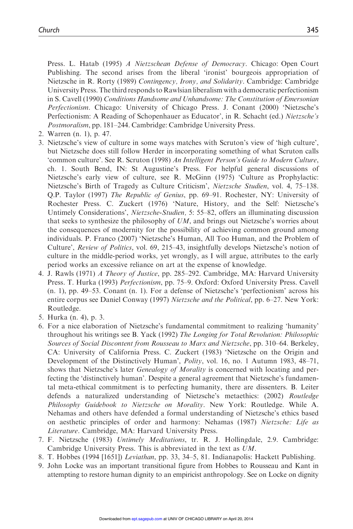Press. L. Hatab (1995) A Nietzschean Defense of Democracy. Chicago: Open Court Publishing. The second arises from the liberal 'ironist' bourgeois appropriation of Nietzsche in R. Rorty (1989) Contingency, Irony, and Solidarity. Cambridge: Cambridge University Press. The third responds to Rawlsian liberalism with a democratic perfectionism in S. Cavell (1990) Conditions Handsome and Unhandsome: The Constitution of Emersonian Perfectionism. Chicago: University of Chicago Press. J. Conant (2000) 'Nietzsche's Perfectionism: A Reading of Schopenhauer as Educator', in R. Schacht (ed.) Nietzsche's Postmoralism, pp. 181–244. Cambridge: Cambridge University Press.

- 2. Warren (n. 1), p. 47.
- 3. Nietzsche's view of culture in some ways matches with Scruton's view of 'high culture', but Nietzsche does still follow Herder in incorporating something of what Scruton calls 'common culture'. See R. Scruton (1998) An Intelligent Person's Guide to Modern Culture, ch. 1. South Bend, IN: St Augustine's Press. For helpful general discussions of Nietzsche's early view of culture, see R. McGinn (1975) 'Culture as Prophylactic: Nietzsche's Birth of Tragedy as Culture Criticism', Nietzsche Studien, vol. 4, 75–138. Q.P. Taylor (1997) The Republic of Genius, pp. 69–91. Rochester, NY: University of Rochester Press. C. Zuckert (1976) 'Nature, History, and the Self: Nietzsche's Untimely Considerations', Nietzsche-Studien, 5: 55–82, offers an illuminating discussion that seeks to synthesize the philosophy of UM, and brings out Nietzsche's worries about the consequences of modernity for the possibility of achieving common ground among individuals. P. Franco (2007) 'Nietzsche's Human, All Too Human, and the Problem of Culture', Review of Politics, vol. 69, 215–43, insightfully develops Nietzsche's notion of culture in the middle-period works, yet wrongly, as I will argue, attributes to the early period works an excessive reliance on art at the expense of knowledge.
- 4. J. Rawls (1971) A Theory of Justice, pp. 285–292. Cambridge, MA: Harvard University Press. T. Hurka (1993) Perfectionism, pp. 75–9. Oxford: Oxford University Press. Cavell (n. 1), pp. 49–53. Conant (n. 1). For a defense of Nietzsche's 'perfectionism' across his entire corpus see Daniel Conway (1997) Nietzsche and the Political, pp. 6–27. New York: Routledge.
- 5. Hurka (n. 4), p. 3.
- 6. For a nice elaboration of Nietzsche's fundamental commitment to realizing 'humanity' throughout his writings see B. Yack (1992) The Longing for Total Revolution: Philosophic Sources of Social Discontent from Rousseau to Marx and Nietzsche, pp. 310–64. Berkeley, CA: University of California Press. C. Zuckert (1983) 'Nietzsche on the Origin and Development of the Distinctively Human', Polity, vol. 16, no. 1 Autumn 1983, 48–71, shows that Nietzsche's later *Genealogy of Morality* is concerned with locating and perfecting the 'distinctively human'. Despite a general agreement that Nietzsche's fundamental meta-ethical commitment is to perfecting humanity, there are dissenters. B. Leiter defends a naturalized understanding of Nietzsche's metaethics: (2002) Routledge Philosophy Guidebook to Nietzsche on Morality. New York: Routledge. While A. Nehamas and others have defended a formal understanding of Nietzsche's ethics based on aesthetic principles of order and harmony: Nehamas (1987) Nietzsche: Life as Literature. Cambridge, MA: Harvard University Press.
- 7. F. Nietzsche (1983) Untimely Meditations, tr. R. J. Hollingdale, 2.9. Cambridge: Cambridge University Press. This is abbreviated in the text as UM.
- 8. T. Hobbes (1994 [1651]) Leviathan, pp. 33, 34–5, 81. Indianapolis: Hackett Publishing.
- 9. John Locke was an important transitional figure from Hobbes to Rousseau and Kant in attempting to restore human dignity to an empiricist anthropology. See on Locke on dignity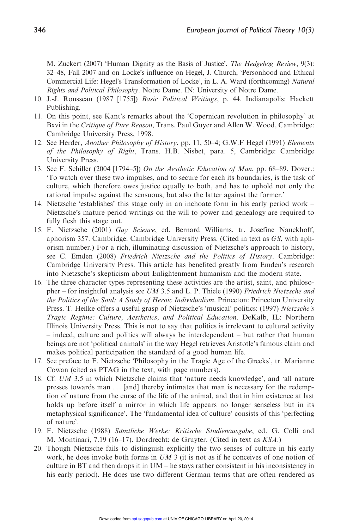M. Zuckert (2007) 'Human Dignity as the Basis of Justice', The Hedgehog Review, 9(3): 32–48, Fall 2007 and on Locke's influence on Hegel, J. Church, 'Personhood and Ethical Commercial Life: Hegel's Transformation of Locke', in L. A. Ward (forthcoming) Natural Rights and Political Philosophy. Notre Dame. IN: University of Notre Dame.

- 10. J.-J. Rousseau (1987 [1755]) Basic Political Writings, p. 44. Indianapolis: Hackett Publishing.
- 11. On this point, see Kant's remarks about the 'Copernican revolution in philosophy' at Bxvi in the Critique of Pure Reason, Trans. Paul Guyer and Allen W. Wood, Cambridge: Cambridge University Press, 1998.
- 12. See Herder, Another Philosophy of History, pp. 11, 50–4; G.W.F Hegel (1991) Elements of the Philosophy of Right, Trans. H.B. Nisbet, para. 5, Cambridge: Cambridge University Press.
- 13. See F. Schiller (2004 [1794–5]) On the Aesthetic Education of Man, pp. 68–89. Dover.: 'To watch over these two impulses, and to secure for each its boundaries, is the task of culture, which therefore owes justice equally to both, and has to uphold not only the rational impulse against the sensuous, but also the latter against the former.'
- 14. Nietzsche 'establishes' this stage only in an inchoate form in his early period work Nietzsche's mature period writings on the will to power and genealogy are required to fully flesh this stage out.
- 15. F. Nietzsche (2001) Gay Science, ed. Bernard Williams, tr. Josefine Nauckhoff, aphorism 357. Cambridge: Cambridge University Press. (Cited in text as GS, with aphorism number.) For a rich, illuminating discussion of Nietzsche's approach to history, see C. Emden (2008) Friedrich Nietzsche and the Politics of History. Cambridge: Cambridge University Press. This article has benefited greatly from Emden's research into Nietzsche's skepticism about Enlightenment humanism and the modern state.
- 16. The three character types representing these activities are the artist, saint, and philosopher – for insightful analysis see  $UM$  3.5 and L. P. Thiele (1990) *Friedrich Nietzsche and* the Politics of the Soul: A Study of Heroic Individualism. Princeton: Princeton University Press. T. Heilke offers a useful grasp of Nietzsche's 'musical' politics: (1997) Nietzsche's Tragic Regime: Culture, Aesthetics, and Political Education. DeKalb, IL: Northern Illinois University Press. This is not to say that politics is irrelevant to cultural activity – indeed, culture and politics will always be interdependent – but rather that human beings are not 'political animals' in the way Hegel retrieves Aristotle's famous claim and makes political participation the standard of a good human life.
- 17. See preface to F. Nietzsche 'Philosophy in the Tragic Age of the Greeks', tr. Marianne Cowan (cited as PTAG in the text, with page numbers).
- 18. Cf. UM 3.5 in which Nietzsche claims that 'nature needs knowledge', and 'all nature presses towards man ... [and] thereby intimates that man is necessary for the redemption of nature from the curse of the life of the animal, and that in him existence at last holds up before itself a mirror in which life appears no longer senseless but in its metaphysical significance'. The 'fundamental idea of culture' consists of this 'perfecting of nature'.
- 19. F. Nietzsche (1988) Sämtliche Werke: Kritische Studienausgabe, ed. G. Colli and M. Montinari, 7.19 (16–17). Dordrecht: de Gruyter. (Cited in text as KSA.)
- 20. Though Nietzsche fails to distinguish explicitly the two senses of culture in his early work, he does invoke both forms in UM 3 (it is not as if he conceives of one notion of culture in BT and then drops it in UM – he stays rather consistent in his inconsistency in his early period). He does use two different German terms that are often rendered as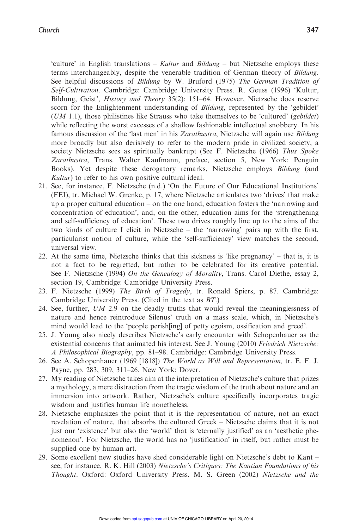'culture' in English translations – Kultur and Bildung – but Nietzsche employs these terms interchangeably, despite the venerable tradition of German theory of Bildung. See helpful discussions of Bildung by W. Bruford (1975) The German Tradition of Self-Cultivation. Cambridge: Cambridge University Press. R. Geuss (1996) 'Kultur, Bildung, Geist', History and Theory 35(2): 151–64. However, Nietzsche does reserve scorn for the Enlightenment understanding of Bildung, represented by the 'gebildet'  $(UM 1.1)$ , those philistines like Strauss who take themselves to be 'cultured'  $(gebilde)$ while reflecting the worst excesses of a shallow fashionable intellectual snobbery. In his famous discussion of the 'last men' in his Zarathustra, Nietzsche will again use Bildung more broadly but also derisively to refer to the modern pride in civilized society, a society Nietzsche sees as spiritually bankrupt (See F. Nietzsche (1966) Thus Spoke Zarathustra, Trans. Walter Kaufmann, preface, section 5, New York: Penguin Books). Yet despite these derogatory remarks, Nietzsche employs *Bildung* (and Kultur) to refer to his own positive cultural ideal.

- 21. See, for instance, F. Nietzsche (n.d.) 'On the Future of Our Educational Institutions' (FEI), tr. Michael W. Grenke, p. 17, where Nietzsche articulates two 'drives' that make up a proper cultural education – on the one hand, education fosters the 'narrowing and concentration of education', and, on the other, education aims for the 'strengthening and self-sufficiency of education'. These two drives roughly line up to the aims of the two kinds of culture I elicit in Nietzsche – the 'narrowing' pairs up with the first, particularist notion of culture, while the 'self-sufficiency' view matches the second, universal view.
- 22. At the same time, Nietzsche thinks that this sickness is 'like pregnancy' that is, it is not a fact to be regretted, but rather to be celebrated for its creative potential. See F. Nietzsche (1994) On the Genealogy of Morality, Trans. Carol Diethe, essay 2, section 19, Cambridge: Cambridge University Press.
- 23. F. Nietzsche (1999) The Birth of Tragedy, tr. Ronald Spiers, p. 87. Cambridge: Cambridge University Press. (Cited in the text as BT.)
- 24. See, further, UM 2.9 on the deadly truths that would reveal the meaninglessness of nature and hence reintroduce Silenus' truth on a mass scale, which, in Nietzsche's mind would lead to the 'people perish[ing] of petty egoism, ossification and greed'.
- 25. J. Young also nicely describes Nietzsche's early encounter with Schopenhauer as the existential concerns that animated his interest. See J. Young (2010) Friedrich Nietzsche: A Philosophical Biography, pp. 81–98. Cambridge: Cambridge University Press.
- 26. See A. Schopenhauer (1969 [1818]) The World as Will and Representation, tr. E. F. J. Payne, pp. 283, 309, 311–26. New York: Dover.
- 27. My reading of Nietzsche takes aim at the interpretation of Nietzsche's culture that prizes a mythology, a mere distraction from the tragic wisdom of the truth about nature and an immersion into artwork. Rather, Nietzsche's culture specifically incorporates tragic wisdom and justifies human life nonetheless.
- 28. Nietzsche emphasizes the point that it is the representation of nature, not an exact revelation of nature, that absorbs the cultured Greek – Nietzsche claims that it is not just our 'existence' but also the 'world' that is 'eternally justified' as an 'aesthetic phenomenon'. For Nietzsche, the world has no 'justification' in itself, but rather must be supplied one by human art.
- 29. Some excellent new studies have shed considerable light on Nietzsche's debt to Kant see, for instance, R. K. Hill (2003) Nietzsche's Critiques: The Kantian Foundations of his Thought. Oxford: Oxford University Press. M. S. Green (2002) Nietzsche and the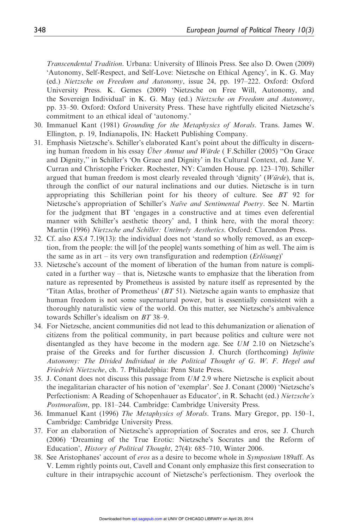Transcendental Tradition. Urbana: University of Illinois Press. See also D. Owen (2009) 'Autonomy, Self-Respect, and Self-Love: Nietzsche on Ethical Agency', in K. G. May (ed.) Nietzsche on Freedom and Autonomy, issue 24, pp. 197–222. Oxford: Oxford University Press. K. Gemes (2009) 'Nietzsche on Free Will, Autonomy, and the Sovereign Individual' in K. G. May (ed.) Nietzsche on Freedom and Autonomy, pp. 33–50. Oxford: Oxford University Press. These have rightfully elicited Nietzsche's commitment to an ethical ideal of 'autonomy.'

- 30. Immanuel Kant (1981) Grounding for the Metaphysics of Morals. Trans. James W. Ellington, p. 19, Indianapolis, IN: Hackett Publishing Company.
- 31. Emphasis Nietzsche's. Schiller's elaborated Kant's point about the difficulty in discerning human freedom in his essay *Über Anmut und Würde* (F.Schiller (2005) "On Grace and Dignity,'' in Schiller's 'On Grace and Dignity' in Its Cultural Context, ed. Jane V. Curran and Christophe Fricker. Rochester, NY: Camden House. pp. 123–170). Schiller argued that human freedom is most clearly revealed through 'dignity' (Würde), that is, through the conflict of our natural inclinations and our duties. Nietzsche is in turn appropriating this Schillerian point for his theory of culture. See  $BT$  92 for Nietzsche's appropriation of Schiller's *Naive and Sentimental Poetry*. See N. Martin for the judgment that BT 'engages in a constructive and at times even deferential manner with Schiller's aesthetic theory' and, I think here, with the moral theory: Martin (1996) Nietzsche and Schiller: Untimely Aesthetics. Oxford: Clarendon Press.
- 32. Cf. also KSA 7.19(13): the individual does not 'stand so wholly removed, as an exception, from the people: the will [of the people] wants something of him as well. The aim is the same as in art – its very own transfiguration and redemption (*Erlösung*)'
- 33. Nietzsche's account of the moment of liberation of the human from nature is complicated in a further way – that is, Nietzsche wants to emphasize that the liberation from nature as represented by Prometheus is assisted by nature itself as represented by the 'Titan Atlas, brother of Prometheus' (BT 51). Nietzsche again wants to emphasize that human freedom is not some supernatural power, but is essentially consistent with a thoroughly naturalistic view of the world. On this matter, see Nietzsche's ambivalence towards Schiller's idealism on BT 38–9.
- 34. For Nietzsche, ancient communities did not lead to this dehumanization or alienation of citizens from the political community, in part because politics and culture were not disentangled as they have become in the modern age. See UM 2.10 on Nietzsche's praise of the Greeks and for further discussion J. Church (forthcoming) Infinite Autonomy: The Divided Individual in the Political Thought of G. W. F. Hegel and Friedrich Nietzsche, ch. 7. Philadelphia: Penn State Press.
- 35. J. Conant does not discuss this passage from UM 2.9 where Nietzsche is explicit about the inegalitarian character of his notion of 'exemplar'. See J. Conant (2000) 'Nietzsche's Perfectionism: A Reading of Schopenhauer as Educator', in R. Schacht (ed.) Nietzsche's Postmoralism, pp. 181–244. Cambridge: Cambridge University Press.
- 36. Immanuel Kant (1996) The Metaphysics of Morals. Trans. Mary Gregor, pp. 150–1, Cambridge: Cambridge University Press.
- 37. For an elaboration of Nietzsche's appropriation of Socrates and eros, see J. Church (2006) 'Dreaming of the True Erotic: Nietzsche's Socrates and the Reform of Education', History of Political Thought, 27(4): 685–710, Winter 2006.
- 38. See Aristophanes' account of eros as a desire to become whole in Symposium 189aff. As V. Lemm rightly points out, Cavell and Conant only emphasize this first consecration to culture in their intrapsychic account of Nietzsche's perfectionism. They overlook the